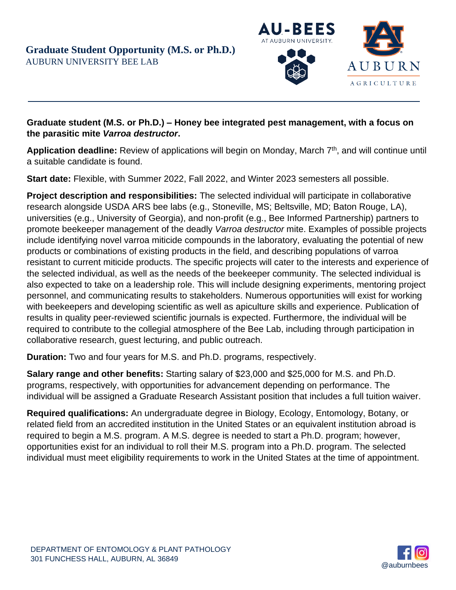

## **Graduate student (M.S. or Ph.D.) – Honey bee integrated pest management, with a focus on the parasitic mite** *Varroa destructor***.**

**Application deadline:** Review of applications will begin on Monday, March 7<sup>th</sup>, and will continue until a suitable candidate is found.

**Start date:** Flexible, with Summer 2022, Fall 2022, and Winter 2023 semesters all possible.

**Project description and responsibilities:** The selected individual will participate in collaborative research alongside USDA ARS bee labs (e.g., Stoneville, MS; Beltsville, MD; Baton Rouge, LA), universities (e.g., University of Georgia), and non-profit (e.g., Bee Informed Partnership) partners to promote beekeeper management of the deadly *Varroa destructor* mite. Examples of possible projects include identifying novel varroa miticide compounds in the laboratory, evaluating the potential of new products or combinations of existing products in the field, and describing populations of varroa resistant to current miticide products. The specific projects will cater to the interests and experience of the selected individual, as well as the needs of the beekeeper community. The selected individual is also expected to take on a leadership role. This will include designing experiments, mentoring project personnel, and communicating results to stakeholders. Numerous opportunities will exist for working with beekeepers and developing scientific as well as apiculture skills and experience. Publication of results in quality peer-reviewed scientific journals is expected. Furthermore, the individual will be required to contribute to the collegial atmosphere of the Bee Lab, including through participation in collaborative research, guest lecturing, and public outreach.

**Duration:** Two and four years for M.S. and Ph.D. programs, respectively.

**Salary range and other benefits:** Starting salary of \$23,000 and \$25,000 for M.S. and Ph.D. programs, respectively, with opportunities for advancement depending on performance. The individual will be assigned a Graduate Research Assistant position that includes a full tuition waiver.

**Required qualifications:** An undergraduate degree in Biology, Ecology, Entomology, Botany, or related field from an accredited institution in the United States or an equivalent institution abroad is required to begin a M.S. program. A M.S. degree is needed to start a Ph.D. program; however, opportunities exist for an individual to roll their M.S. program into a Ph.D. program. The selected individual must meet eligibility requirements to work in the United States at the time of appointment.